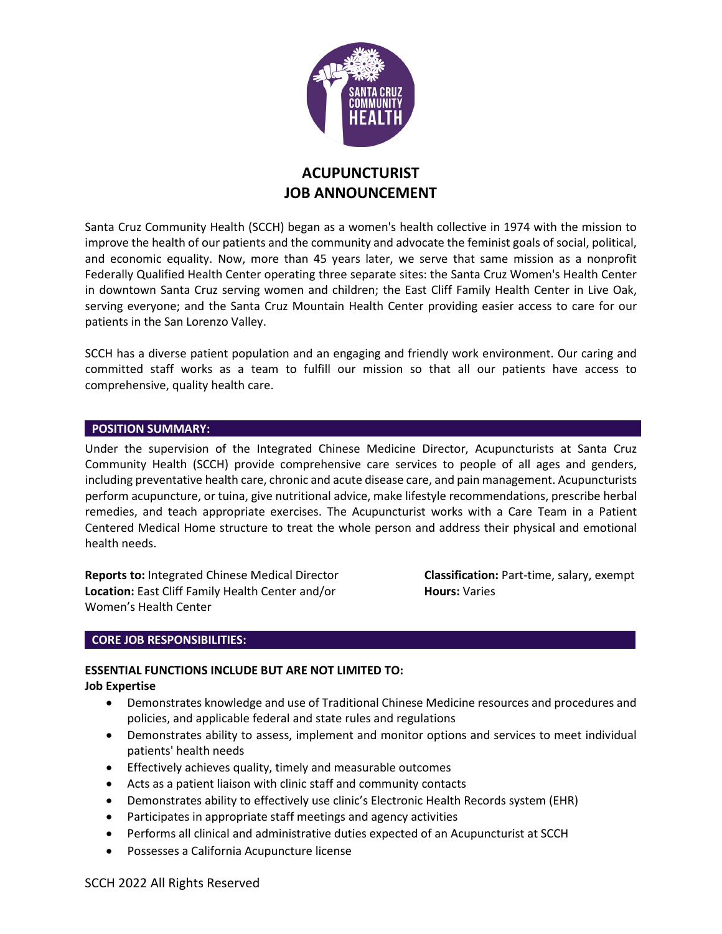

# **ACUPUNCTURIST JOB ANNOUNCEMENT**

Santa Cruz Community Health (SCCH) began as a women's health collective in 1974 with the mission to improve the health of our patients and the community and advocate the feminist goals of social, political, and economic equality. Now, more than 45 years later, we serve that same mission as a nonprofit Federally Qualified Health Center operating three separate sites: the Santa Cruz Women's Health Center in downtown Santa Cruz serving women and children; the East Cliff Family Health Center in Live Oak, serving everyone; and the Santa Cruz Mountain Health Center providing easier access to care for our patients in the San Lorenzo Valley.

SCCH has a diverse patient population and an engaging and friendly work environment. Our caring and committed staff works as a team to fulfill our mission so that all our patients have access to comprehensive, quality health care.

#### **POSITION SUMMARY:**

Under the supervision of the Integrated Chinese Medicine Director, Acupuncturists at Santa Cruz Community Health (SCCH) provide comprehensive care services to people of all ages and genders, including preventative health care, chronic and acute disease care, and pain management. Acupuncturists perform acupuncture, or tuina, give nutritional advice, make lifestyle recommendations, prescribe herbal remedies, and teach appropriate exercises. The Acupuncturist works with a Care Team in a Patient Centered Medical Home structure to treat the whole person and address their physical and emotional health needs.

**Reports to:** Integrated Chinese Medical Director **Classification:** Part-time, salary, exempt **Location:** East Cliff Family Health Center and/or **Hours:** Varies Women's Health Center

# **CORE JOB RESPONSIBILITIES:**

# **ESSENTIAL FUNCTIONS INCLUDE BUT ARE NOT LIMITED TO:**

#### **Job Expertise**

- Demonstrates knowledge and use of Traditional Chinese Medicine resources and procedures and policies, and applicable federal and state rules and regulations
- Demonstrates ability to assess, implement and monitor options and services to meet individual patients' health needs
- Effectively achieves quality, timely and measurable outcomes
- Acts as a patient liaison with clinic staff and community contacts
- Demonstrates ability to effectively use clinic's Electronic Health Records system (EHR)
- Participates in appropriate staff meetings and agency activities
- Performs all clinical and administrative duties expected of an Acupuncturist at SCCH
- Possesses a California Acupuncture license

# SCCH 2022 All Rights Reserved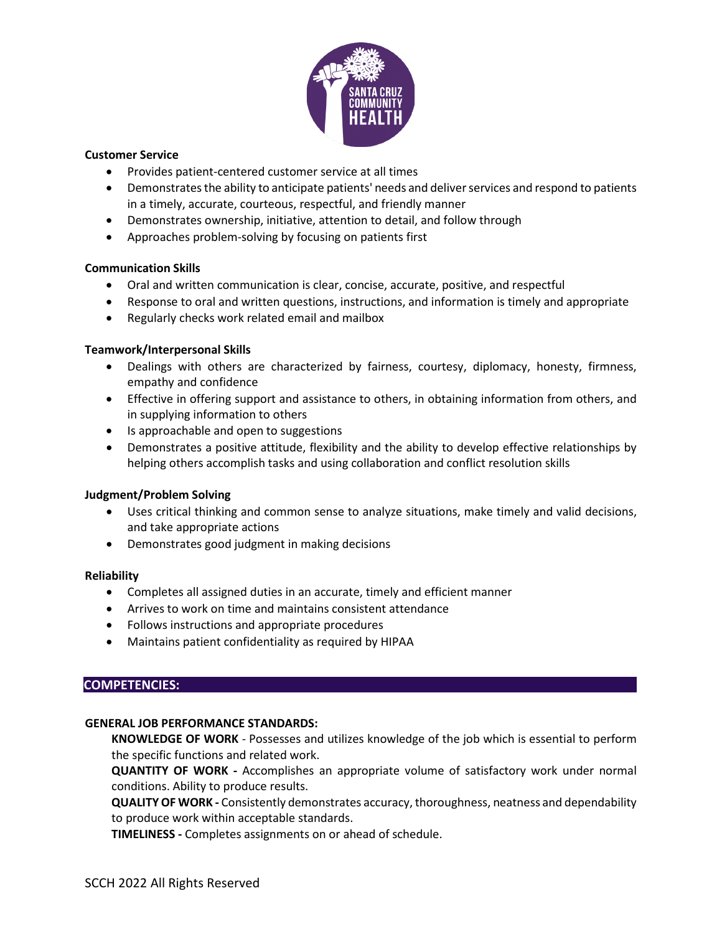

#### **Customer Service**

- Provides patient-centered customer service at all times
- Demonstrates the ability to anticipate patients' needs and deliver services and respond to patients in a timely, accurate, courteous, respectful, and friendly manner
- Demonstrates ownership, initiative, attention to detail, and follow through
- Approaches problem-solving by focusing on patients first

# **Communication Skills**

- Oral and written communication is clear, concise, accurate, positive, and respectful
- Response to oral and written questions, instructions, and information is timely and appropriate
- Regularly checks work related email and mailbox

# **Teamwork/Interpersonal Skills**

- Dealings with others are characterized by fairness, courtesy, diplomacy, honesty, firmness, empathy and confidence
- Effective in offering support and assistance to others, in obtaining information from others, and in supplying information to others
- Is approachable and open to suggestions
- Demonstrates a positive attitude, flexibility and the ability to develop effective relationships by helping others accomplish tasks and using collaboration and conflict resolution skills

# **Judgment/Problem Solving**

- Uses critical thinking and common sense to analyze situations, make timely and valid decisions, and take appropriate actions
- Demonstrates good judgment in making decisions

# **Reliability**

- Completes all assigned duties in an accurate, timely and efficient manner
- Arrives to work on time and maintains consistent attendance
- Follows instructions and appropriate procedures
- Maintains patient confidentiality as required by HIPAA

# **COMPETENCIES:**

# **GENERAL JOB PERFORMANCE STANDARDS:**

**KNOWLEDGE OF WORK** - Possesses and utilizes knowledge of the job which is essential to perform the specific functions and related work.

**QUANTITY OF WORK -** Accomplishes an appropriate volume of satisfactory work under normal conditions. Ability to produce results.

**QUALITYOF WORK -** Consistently demonstrates accuracy,thoroughness, neatness and dependability to produce work within acceptable standards.

**TIMELINESS -** Completes assignments on or ahead of schedule.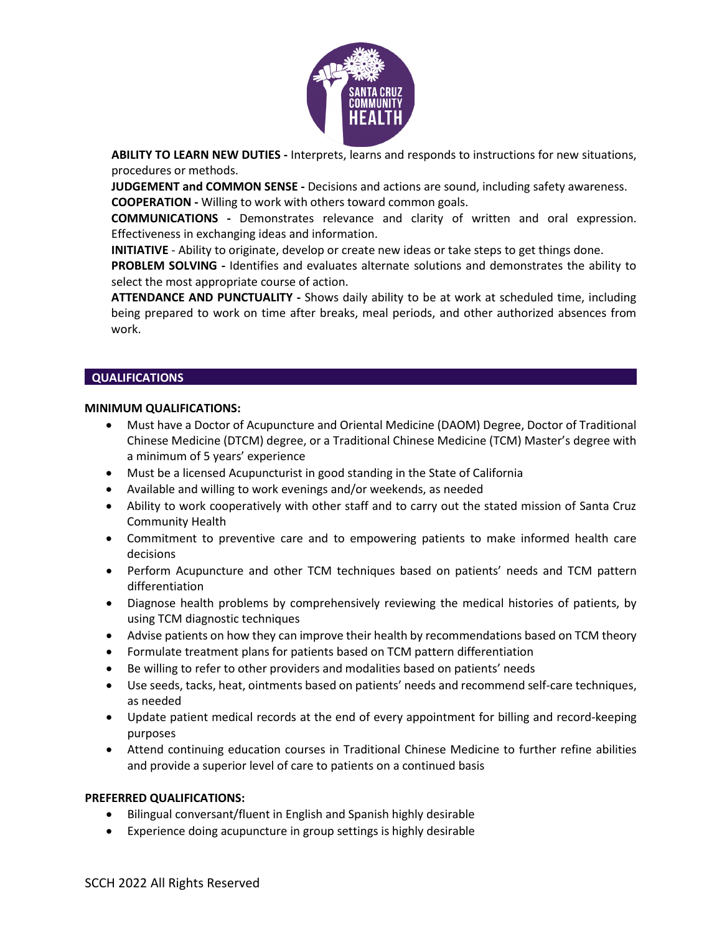

**ABILITY TO LEARN NEW DUTIES -** Interprets, learns and responds to instructions for new situations, procedures or methods.

**JUDGEMENT and COMMON SENSE -** Decisions and actions are sound, including safety awareness. **COOPERATION -** Willing to work with others toward common goals.

**COMMUNICATIONS -** Demonstrates relevance and clarity of written and oral expression. Effectiveness in exchanging ideas and information.

**INITIATIVE** *-* Ability to originate, develop or create new ideas or take steps to get things done.

**PROBLEM SOLVING -** Identifies and evaluates alternate solutions and demonstrates the ability to select the most appropriate course of action.

**ATTENDANCE AND PUNCTUALITY -** Shows daily ability to be at work at scheduled time, including being prepared to work on time after breaks, meal periods, and other authorized absences from work.

#### **QUALIFICATIONS**

#### **MINIMUM QUALIFICATIONS:**

- Must have a Doctor of Acupuncture and Oriental Medicine (DAOM) Degree, Doctor of Traditional Chinese Medicine (DTCM) degree, or a Traditional Chinese Medicine (TCM) Master's degree with a minimum of 5 years' experience
- Must be a licensed Acupuncturist in good standing in the State of California
- Available and willing to work evenings and/or weekends, as needed
- Ability to work cooperatively with other staff and to carry out the stated mission of Santa Cruz Community Health
- Commitment to preventive care and to empowering patients to make informed health care decisions
- Perform Acupuncture and other TCM techniques based on patients' needs and TCM pattern differentiation
- Diagnose health problems by comprehensively reviewing the medical histories of patients, by using TCM diagnostic techniques
- Advise patients on how they can improve their health by recommendations based on TCM theory
- Formulate treatment plans for patients based on TCM pattern differentiation
- Be willing to refer to other providers and modalities based on patients' needs
- Use seeds, tacks, heat, ointments based on patients' needs and recommend self-care techniques, as needed
- Update patient medical records at the end of every appointment for billing and record-keeping purposes
- Attend continuing education courses in Traditional Chinese Medicine to further refine abilities and provide a superior level of care to patients on a continued basis

# **PREFERRED QUALIFICATIONS:**

- Bilingual conversant/fluent in English and Spanish highly desirable
- Experience doing acupuncture in group settings is highly desirable